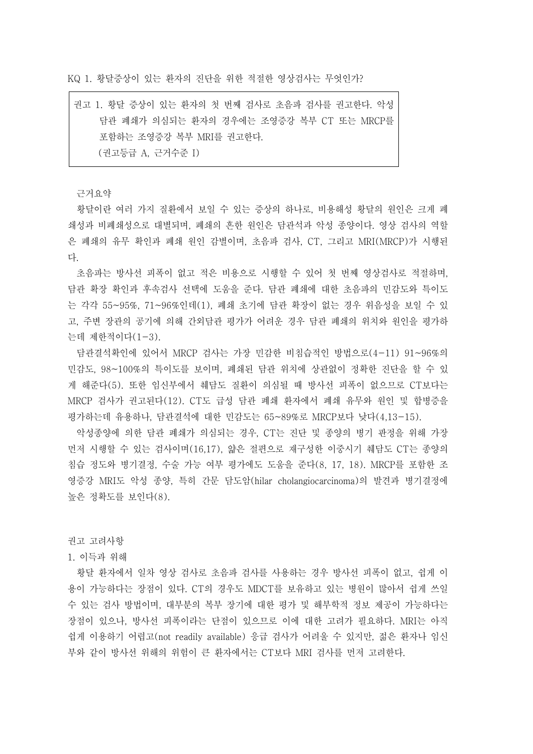KQ 1. 황달증상이 있는 환자의 진단을 위한 적절한 영상검사는 무엇인가?

권고 1. 황달 증상이 있는 환자의 첫 번째 검사로 초음파 검사를 권고한다. 악성 담관 폐쇄가 의심되는 환자의 경우에는 조영증강 복부 CT 또는 MRCP를 포함하는 조영증강 복부 MRI를 권고한다. (권고등급 A, 근거수준 I)

근거요약<br>황달이란 여러 가지 질환에서 보일 수 있는 증상의 하나로, 비용해성 황달의 원인은 크게 폐 쇄성과 비폐쇄성으로 대별되며, 폐쇄의 흔한 원인은 담관석과 악성 종양이다. 영상 검사의 역할 은 폐쇄의 유무 확인과 폐쇄 원인 감별이며, 초음파 검사, CT, 그리고 MRI(MRCP)가 시행된

다.<br>- 초음파는 방사선 피폭이 없고 적은 비용으로 시행할 수 있어 첫 번째 영상검사로 적절하며,<br>담관 확장 확인과 후속검사 선택에 도움을 준다. 담관 폐쇄에 대한 초음파의 민감도와 특이도 는 각각 55~95%, 71~96%인데(1), 폐쇄 초기에 담관 확장이 없는 경우 위음성을 보일 수 있 고, 주변 장관의 공기에 의해 간외담관 평가가 어려운 경우 담관 폐쇄의 위치와 원인을 평가하 는데 제한적이다(1-3).

담관결석확인에 있어서 MRCP 검사는 가장 민감한 비침습적인 방법으로(4-11) 91~96%의 민감도, 98~100%의 특이도를 보이며, 폐쇄된 담관 위치에 상관없이 정확한 진단을 할 수 있 게 해준다(5). 또한 임신부에서 췌담도 질환이 의심될 때 방사선 피폭이 없으므로 CT보다는 MRCP 검사가 권고된다(12). CT도 급성 담관 폐쇄 환자에서 폐쇄 유무와 원인 및 합병증을 평가하는데 유용하나, 담관결석에 대한 민감도는 65~89%로 MRCP보다 낮다(4,13-15).

악성종양에 의한 담관 폐쇄가 의심되는 경우, CT는 진단 및 종양의 병기 판정을 위해 가장 먼저 시행할 수 있는 검사이며(16,17), 얇은 절편으로 재구성한 이중시기 췌담도 CT는 종양의 침습 정도와 병기결정, 수술 가능 여부 평가에도 도움을 준다(8, 17, 18). MRCP를 포함한 조 영증강 MRI도 악성 종양, 특히 간문 담도암(hilar cholangiocarcinoma)의 발견과 병기결정에 높은 정확도를 보인다(8).

권고 고려사항

## 1. 이득과 위해

황달 환자에서 일차 영상 검사로 초음파 검사를 사용하는 경우 방사선 피폭이 없고, 쉽게 이 용이 가능하다는 장점이 있다. CT의 경우도 MDCT를 보유하고 있는 병원이 많아서 쉽게 쓰일 수 있는 검사 방법이며, 대부분의 복부 장기에 대한 평가 및 해부학적 정보 제공이 가능하다는 장점이 있으나, 방사선 피폭이라는 단점이 있으므로 이에 대한 고려가 필요하다. MRI는 아직 쉽게 이용하기 어렵고(not readily available) 응급 검사가 어려울 수 있지만, 젊은 환자나 임신 부와 같이 방사선 위해의 위험이 큰 환자에서는 CT보다 MRI 검사를 먼저 고려한다.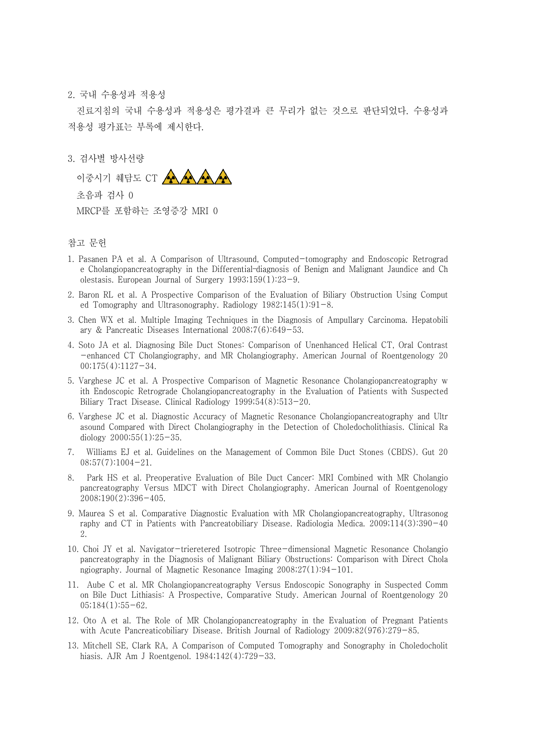2. 국내 수용성과 적용성

진료지침의 국내 수용성과 적용성은 평가결과 큰 무리가 없는 것으로 판단되었다. 수용성과 적용성 평가표는 부록에 제시한다.<br><br>3. 검사별 방사선량



초음파 검사 0

MRCP를 포함하는 조영증강 MRI 0

## 참고 문헌

- 1. Pasanen PA et al. A Comparison of Ultrasound, Computed-tomography and Endoscopic Retrograd e Cholangiopancreatography in the Differential–diagnosis of Benign and Malignant Jaundice and Ch olestasis. European Journal of Surgery 1993;159(1):23-9.
- 2. Baron RL et al. A Prospective Comparison of the Evaluation of Biliary Obstruction Using Comput ed Tomography and Ultrasonography. Radiology 1982;145(1):91-8.
- 3. Chen WX et al. Multiple Imaging Techniques in the Diagnosis of Ampullary Carcinoma. Hepatobili ary & Pancreatic Diseases International 2008;7(6):649-53.
- 4. Soto JA et al. Diagnosing Bile Duct Stones: Comparison of Unenhanced Helical CT, Oral Contrast -enhanced CT Cholangiography, and MR Cholangiography. American Journal of Roentgenology 20 00;175(4):1127-34.
- 5. Varghese JC et al. A Prospective Comparison of Magnetic Resonance Cholangiopancreatography w ith Endoscopic Retrograde Cholangiopancreatography in the Evaluation of Patients with Suspected Biliary Tract Disease. Clinical Radiology 1999;54(8):513-20.
- 6. Varghese JC et al. Diagnostic Accuracy of Magnetic Resonance Cholangiopancreatography and Ultr asound Compared with Direct Cholangiography in the Detection of Choledocholithiasis. Clinical Ra diology  $2000;55(1):25-35$ .
- 7. Williams EJ et al. Guidelines on the Management of Common Bile Duct Stones (CBDS). Gut 20  $08;57(7):1004-21.$
- 8. Park HS et al. Preoperative Evaluation of Bile Duct Cancer: MRI Combined with MR Cholangio pancreatography Versus MDCT with Direct Cholangiography. American Journal of Roentgenology 2008;190(2):396-405.
- 9. Maurea S et al. Comparative Diagnostic Evaluation with MR Cholangiopancreatography, Ultrasonog raphy and CT in Patients with Pancreatobiliary Disease. Radiologia Medica. 2009;114(3):390-40 2.
- 10. Choi JY et al. Navigator-trieretered Isotropic Three-dimensional Magnetic Resonance Cholangio pancreatography in the Diagnosis of Malignant Biliary Obstructions: Comparison with Direct Chola ngiography. Journal of Magnetic Resonance Imaging 2008;27(1):94-101.
- 11. Aube C et al. MR Cholangiopancreatography Versus Endoscopic Sonography in Suspected Comm on Bile Duct Lithiasis: A Prospective, Comparative Study. American Journal of Roentgenology 20 05;184(1):55-62.
- 12. Oto A et al. The Role of MR Cholangiopancreatography in the Evaluation of Pregnant Patients with Acute Pancreaticobiliary Disease. British Journal of Radiology 2009;82(976):279-85.
- 13. Mitchell SE, Clark RA, A Comparison of Computed Tomography and Sonography in Choledocholit hiasis. AJR Am J Roentgenol. 1984;142(4):729-33.